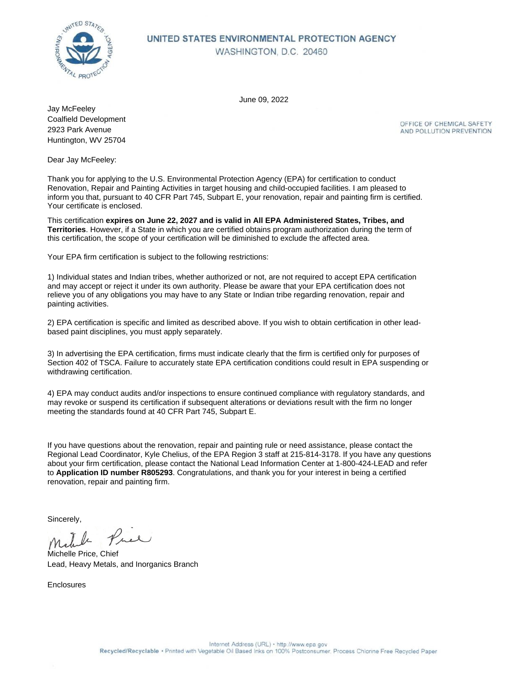

#### UNITED STATES ENVIRONMENTAL PROTECTION AGENCY WASHINGTON, D.C. 20460

June 09, 2022

Coalfield Development 2923 Park Avenue Huntington, WV 25704 Jay McFeeley

OFFICE OF CHEMICAL SAFETY AND POLLUTION PREVENTION

Dear Jay McFeeley:

Thank you for applying to the U.S. Environmental Protection Agency (EPA) for certification to conduct Renovation, Repair and Painting Activities in target housing and child-occupied facilities. I am pleased to inform you that, pursuant to 40 CFR Part 745, Subpart E, your renovation, repair and painting firm is certified. Your certificate is enclosed.

This certification **expires on June 22, 2027 and is valid in All EPA Administered States, Tribes, and Territories**. However, if a State in which you are certified obtains program authorization during the term of this certification, the scope of your certification will be diminished to exclude the affected area.

Your EPA firm certification is subject to the following restrictions:

1) Individual states and Indian tribes, whether authorized or not, are not required to accept EPA certification and may accept or reject it under its own authority. Please be aware that your EPA certification does not relieve you of any obligations you may have to any State or Indian tribe regarding renovation, repair and painting activities.

2) EPA certification is specific and limited as described above. If you wish to obtain certification in other leadbased paint disciplines, you must apply separately.

3) In advertising the EPA certification, firms must indicate clearly that the firm is certified only for purposes of Section 402 of TSCA. Failure to accurately state EPA certification conditions could result in EPA suspending or withdrawing certification.

4) EPA may conduct audits and/or inspections to ensure continued compliance with regulatory standards, and may revoke or suspend its certification if subsequent alterations or deviations result with the firm no longer meeting the standards found at 40 CFR Part 745, Subpart E.

If you have questions about the renovation, repair and painting rule or need assistance, please contact the Regional Lead Coordinator, Kyle Chelius, of the EPA Region 3 staff at 215-814-3178. If you have any questions about your firm certification, please contact the National Lead Information Center at 1-800-424-LEAD and refer to **Application ID number R805293**. Congratulations, and thank you for your interest in being a certified renovation, repair and painting firm.

Sincerely,

Price The

Michelle Price, Chief Lead, Heavy Metals, and Inorganics Branch

Enclosures